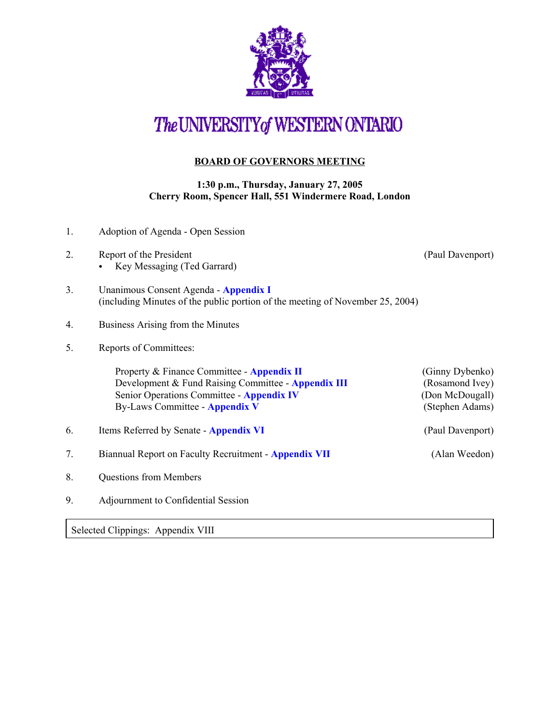

## The UNIVERSITY of WESTERN ONTARIO

## **BOARD OF GOVERNORS MEETING**

## **1:30 p.m., Thursday, January 27, 2005 Cherry Room, Spencer Hall, 551 Windermere Road, London**

| 1.                                | Adoption of Agenda - Open Session                                                                                                                                                |                                                                          |  |
|-----------------------------------|----------------------------------------------------------------------------------------------------------------------------------------------------------------------------------|--------------------------------------------------------------------------|--|
| 2.                                | Report of the President<br>Key Messaging (Ted Garrard)                                                                                                                           | (Paul Davenport)                                                         |  |
| 3.                                | Unanimous Consent Agenda - Appendix I<br>(including Minutes of the public portion of the meeting of November 25, 2004)                                                           |                                                                          |  |
| 4.                                | Business Arising from the Minutes                                                                                                                                                |                                                                          |  |
| 5.                                | Reports of Committees:                                                                                                                                                           |                                                                          |  |
|                                   | Property & Finance Committee - Appendix II<br>Development & Fund Raising Committee - Appendix III<br>Senior Operations Committee - Appendix IV<br>By-Laws Committee - Appendix V | (Ginny Dybenko)<br>(Rosamond Ivey)<br>(Don McDougall)<br>(Stephen Adams) |  |
| 6.                                | Items Referred by Senate - Appendix VI                                                                                                                                           | (Paul Davenport)                                                         |  |
| 7.                                | Biannual Report on Faculty Recruitment - Appendix VII                                                                                                                            | (Alan Weedon)                                                            |  |
| 8.                                | <b>Questions from Members</b>                                                                                                                                                    |                                                                          |  |
| 9.                                | Adjournment to Confidential Session                                                                                                                                              |                                                                          |  |
| Selected Clippings: Appendix VIII |                                                                                                                                                                                  |                                                                          |  |